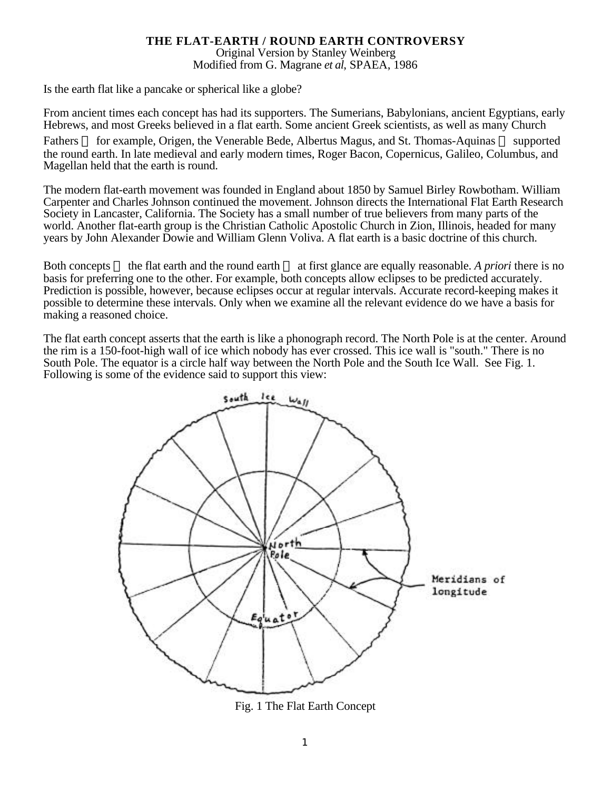## **THE FLAT-EARTH / ROUND EARTH CONTROVERSY**

Original Version by Stanley Weinberg Modified from G. Magrane *et al*, SPAEA, 1986

Is the earth flat like a pancake or spherical like a globe?

From ancient times each concept has had its supporters. The Sumerians, Babylonians, ancient Egyptians, early Hebrews, and most Greeks believed in a flat earth. Some ancient Greek scientists, as well as many Church

Fathers for example, Origen, the Venerable Bede, Albertus Magus, and St. Thomas-Aquinas supported the round earth. In late medieval and early modern times, Roger Bacon, Copernicus, Galileo, Columbus, and Magellan held that the earth is round.

The modern flat-earth movement was founded in England about 1850 by Samuel Birley Rowbotham. William Carpenter and Charles Johnson continued the movement. Johnson directs the International Flat Earth Research Society in Lancaster, California. The Society has a small number of true believers from many parts of the world. Another flat-earth group is the Christian Catholic Apostolic Church in Zion, Illinois, headed for many years by John Alexander Dowie and William Glenn Voliva. A flat earth is a basic doctrine of this church.

Both concepts the flat earth and the round earth at first glance are equally reasonable. *A priori* there is no basis for preferring one to the other. For example, both concepts allow eclipses to be predicted accurately. Prediction is possible, however, because eclipses occur at regular intervals. Accurate record-keeping makes it possible to determine these intervals. Only when we examine all the relevant evidence do we have a basis for making a reasoned choice.

The flat earth concept asserts that the earth is like a phonograph record. The North Pole is at the center. Around the rim is a 150-foot-high wall of ice which nobody has ever crossed. This ice wall is "south." There is no South Pole. The equator is a circle half way between the North Pole and the South Ice Wall. See Fig. 1. Following is some of the evidence said to support this view:



Fig. 1 The Flat Earth Concept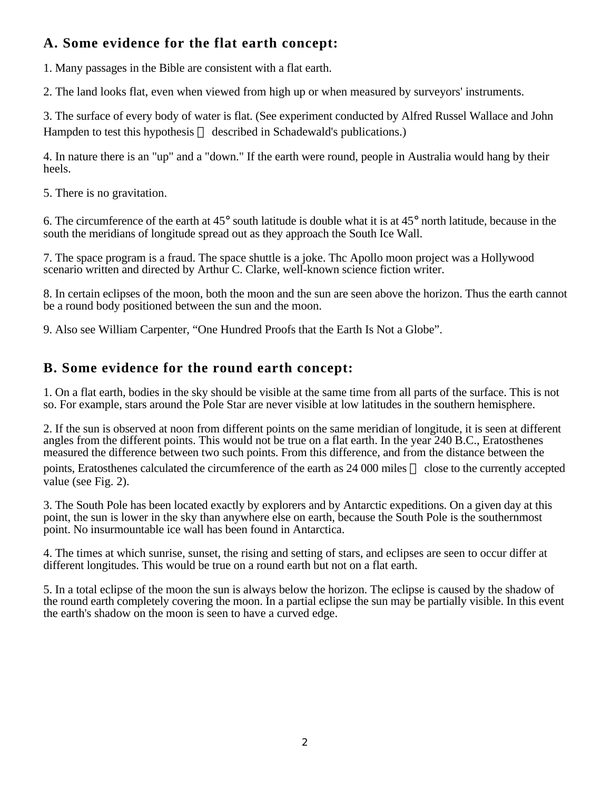## **A. Some evidence for the flat earth concept:**

1. Many passages in the Bible are consistent with a flat earth.

2. The land looks flat, even when viewed from high up or when measured by surveyors' instruments.

3. The surface of every body of water is flat. (See experiment conducted by Alfred Russel Wallace and John Hampden to test this hypothesis described in Schadewald's publications.)

4. In nature there is an "up" and a "down." If the earth were round, people in Australia would hang by their heels.

5. There is no gravitation.

6. The circumference of the earth at 45° south latitude is double what it is at 45° north latitude, because in the south the meridians of longitude spread out as they approach the South Ice Wall.

7. The space program is a fraud. The space shuttle is a joke. Thc Apollo moon project was a Hollywood scenario written and directed by Arthur C. Clarke, well-known science fiction writer.

8. In certain eclipses of the moon, both the moon and the sun are seen above the horizon. Thus the earth cannot be a round body positioned between the sun and the moon.

9. Also see William Carpenter, "One Hundred Proofs that the Earth Is Not a Globe".

## **B. Some evidence for the round earth concept:**

1. On a flat earth, bodies in the sky should be visible at the same time from all parts of the surface. This is not so. For example, stars around the Pole Star are never visible at low latitudes in the southern hemisphere.

2. If the sun is observed at noon from different points on the same meridian of longitude, it is seen at different angles from the different points. This would not be true on a flat earth. In the year 240 B.C., Eratosthenes measured the difference between two such points. From this difference, and from the distance between the

points, Eratosthenes calculated the circumference of the earth as 24 000 miles close to the currently accepted value (see Fig. 2).

3. The South Pole has been located exactly by explorers and by Antarctic expeditions. On a given day at this point, the sun is lower in the sky than anywhere else on earth, because the South Pole is the southernmost point. No insurmountable ice wall has been found in Antarctica.

4. The times at which sunrise, sunset, the rising and setting of stars, and eclipses are seen to occur differ at different longitudes. This would be true on a round earth but not on a flat earth.

5. In a total eclipse of the moon the sun is always below the horizon. The eclipse is caused by the shadow of the round earth completely covering the moon. In a partial eclipse the sun may be partially visible. In this event the earth's shadow on the moon is seen to have a curved edge.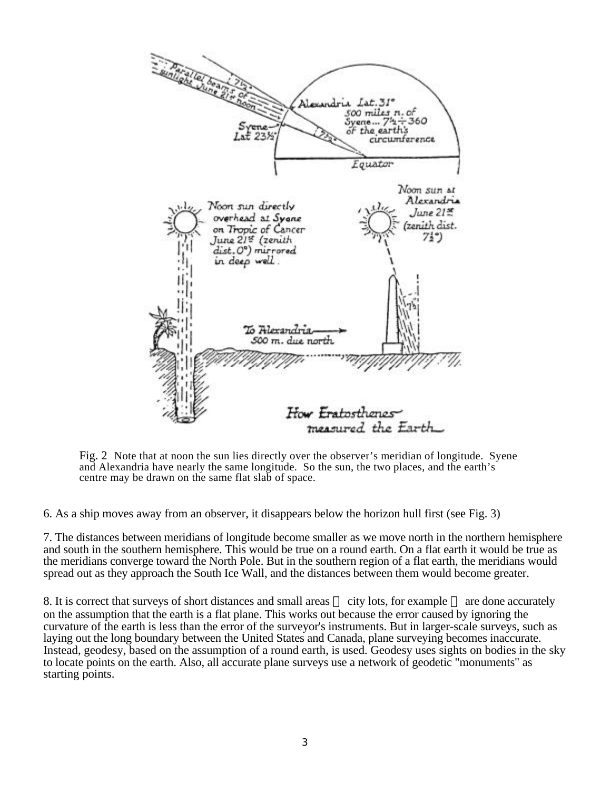

Fig. 2 Note that at noon the sun lies directly over the observer's meridian of longitude. Syene and Alexandria have nearly the same longitude. So the sun, the two places, and the earth's centre may be drawn on the same flat slab of space.

6. As a ship moves away from an observer, it disappears below the horizon hull first (see Fig. 3)

7. The distances between meridians of longitude become smaller as we move north in the northern hemisphere and south in the southern hemisphere. This would be true on a round earth. On a flat earth it would be true as the meridians converge toward the North Pole. But in the southern region of a flat earth, the meridians would spread out as they approach the South Ice Wall, and the distances between them would become greater.

8. It is correct that surveys of short distances and small areas city lots, for example are done accurately on the assumption that the earth is a flat plane. This works out because the error caused by ignoring the curvature of the earth is less than the error of the surveyor's instruments. But in larger-scale surveys, such as laying out the long boundary between the United States and Canada, plane surveying becomes inaccurate. Instead, geodesy, based on the assumption of a round earth, is used. Geodesy uses sights on bodies in the sky to locate points on the earth. Also, all accurate plane surveys use a network of geodetic "monuments" as starting points.